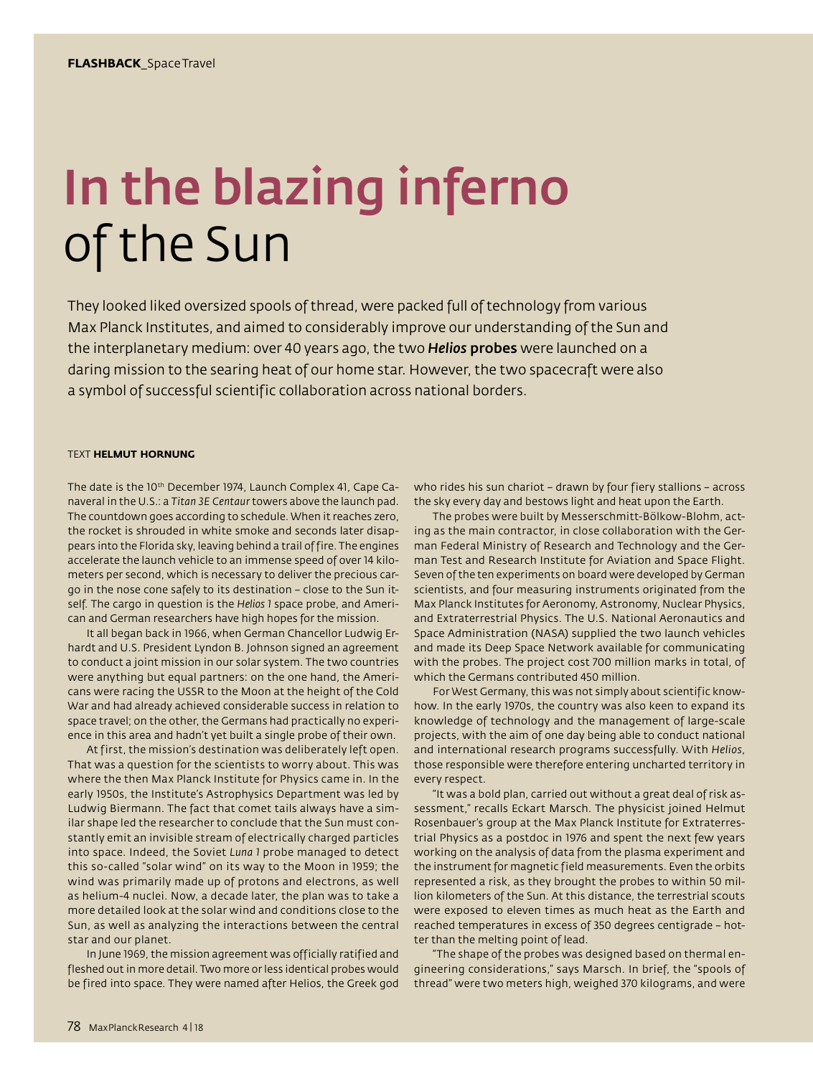## In the blazing inferno of the Sun

They looked liked oversized spools of thread, were packed full of technology from various Max Planck Institutes, and aimed to considerably improve our understanding of the Sun and the interplanetary medium: over 40 years ago, the two *Helios* probes were launched on a daring mission to the searing heat of our home star. However, the two spacecraft were also a symbol of successful scientific collaboration across national borders.

## TEXT **HELMUT HORNUNG**

The date is the 10<sup>th</sup> December 1974, Launch Complex 41, Cape Canaveral in the U.S.: a *Titan 3E Centaur* towers above the launch pad. The countdown goes according to schedule. When it reaches zero, the rocket is shrouded in white smoke and seconds later disappears into the Florida sky, leaving behind a trail of fire. The engines accelerate the launch vehicle to an immense speed of over 14 kilometers per second, which is necessary to deliver the precious cargo in the nose cone safely to its destination – close to the Sun itself. The cargo in question is the *Helios 1* space probe, and American and German researchers have high hopes for the mission.

It all began back in 1966, when German Chancellor Ludwig Erhardt and U.S. President Lyndon B. Johnson signed an agreement to conduct a joint mission in our solar system. The two countries were anything but equal partners: on the one hand, the Americans were racing the USSR to the Moon at the height of the Cold War and had already achieved considerable success in relation to space travel; on the other, the Germans had practically no experience in this area and hadn't yet built a single probe of their own.

At first, the mission's destination was deliberately left open. That was a question for the scientists to worry about. This was where the then Max Planck Institute for Physics came in. In the early 1950s, the Institute's Astrophysics Department was led by Ludwig Biermann. The fact that comet tails always have a similar shape led the researcher to conclude that the Sun must constantly emit an invisible stream of electrically charged particles into space. Indeed, the Soviet *Luna 1* probe managed to detect this so-called "solar wind" on its way to the Moon in 1959; the wind was primarily made up of protons and electrons, as well as helium-4 nuclei. Now, a decade later, the plan was to take a more detailed look at the solar wind and conditions close to the Sun, as well as analyzing the interactions between the central star and our planet.

In June 1969, the mission agreement was officially ratified and fleshed out in more detail. Two more or less identical probes would be fired into space. They were named after Helios, the Greek god who rides his sun chariot – drawn by four fiery stallions – across the sky every day and bestows light and heat upon the Earth.

The probes were built by Messerschmitt-Bölkow-Blohm, acting as the main contractor, in close collaboration with the German Federal Ministry of Research and Technology and the German Test and Research Institute for Aviation and Space Flight. Seven of the ten experiments on board were developed by German scientists, and four measuring instruments originated from the Max Planck Institutes for Aeronomy, Astronomy, Nuclear Physics, and Extraterrestrial Physics. The U.S. National Aeronautics and Space Administration (NASA) supplied the two launch vehicles and made its Deep Space Network available for communicating with the probes. The project cost 700 million marks in total, of which the Germans contributed 450 million.

For West Germany, this was not simply about scientific knowhow. In the early 1970s, the country was also keen to expand its knowledge of technology and the management of large-scale projects, with the aim of one day being able to conduct national and international research programs successfully. With *Helios*, those responsible were therefore entering uncharted territory in every respect.

"It was a bold plan, carried out without a great deal of risk assessment," recalls Eckart Marsch. The physicist joined Helmut Rosenbauer's group at the Max Planck Institute for Extraterrestrial Physics as a postdoc in 1976 and spent the next few years working on the analysis of data from the plasma experiment and the instrument for magnetic field measurements. Even the orbits represented a risk, as they brought the probes to within 50 million kilometers of the Sun. At this distance, the terrestrial scouts were exposed to eleven times as much heat as the Earth and reached temperatures in excess of 350 degrees centigrade – hotter than the melting point of lead.

"The shape of the probes was designed based on thermal engineering considerations," says Marsch. In brief, the "spools of thread" were two meters high, weighed 370 kilograms, and were